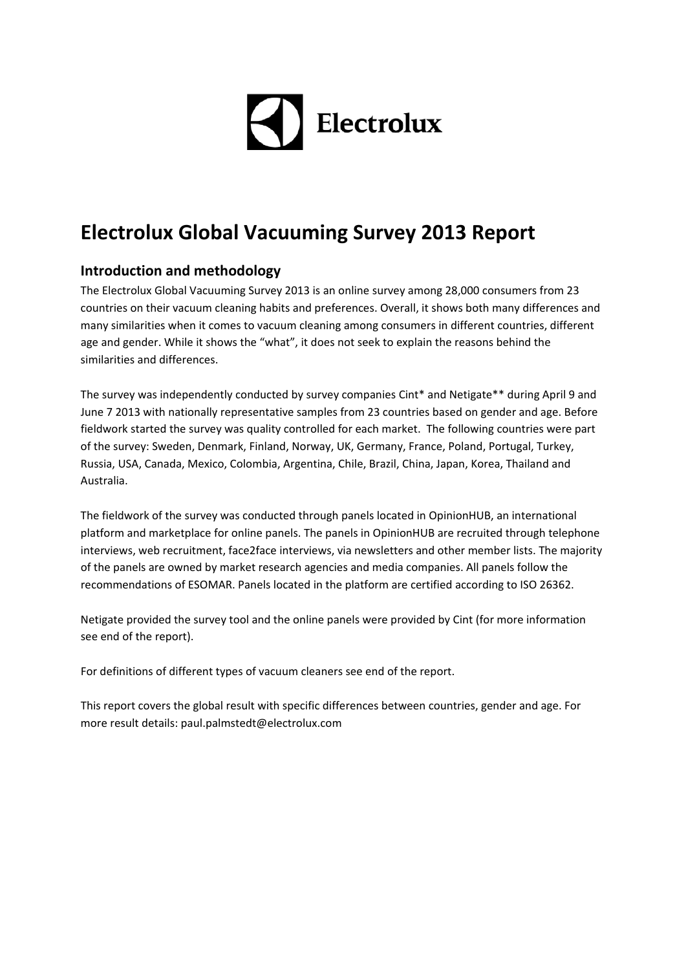# $\blacktriangleleft$  Electrolux

# **Electrolux Global Vacuuming Survey 2013 Report**

# **Introduction and methodology**

The Electrolux Global Vacuuming Survey 2013 is an online survey among 28,000 consumers from 23 countries on their vacuum cleaning habits and preferences. Overall, it shows both many differences and many similarities when it comes to vacuum cleaning among consumers in different countries, different age and gender. While it shows the "what", it does not seek to explain the reasons behind the similarities and differences.

The survey was independently conducted by survey companies Cint\* and Netigate\*\* during April 9 and June 7 2013 with nationally representative samples from 23 countries based on gender and age. Before fieldwork started the survey was quality controlled for each market. The following countries were part of the survey: Sweden, Denmark, Finland, Norway, UK, Germany, France, Poland, Portugal, Turkey, Russia, USA, Canada, Mexico, Colombia, Argentina, Chile, Brazil, China, Japan, Korea, Thailand and Australia.

The fieldwork of the survey was conducted through panels located in OpinionHUB, an international platform and marketplace for online panels. The panels in OpinionHUB are recruited through telephone interviews, web recruitment, face2face interviews, via newsletters and other member lists. The majority of the panels are owned by market research agencies and media companies. All panels follow the recommendations of ESOMAR. Panels located in the platform are certified according to ISO 26362.

Netigate provided the survey tool and the online panels were provided by Cint (for more information see end of the report).

For definitions of different types of vacuum cleaners see end of the report.

This report covers the global result with specific differences between countries, gender and age. For more result details: paul.palmstedt@electrolux.com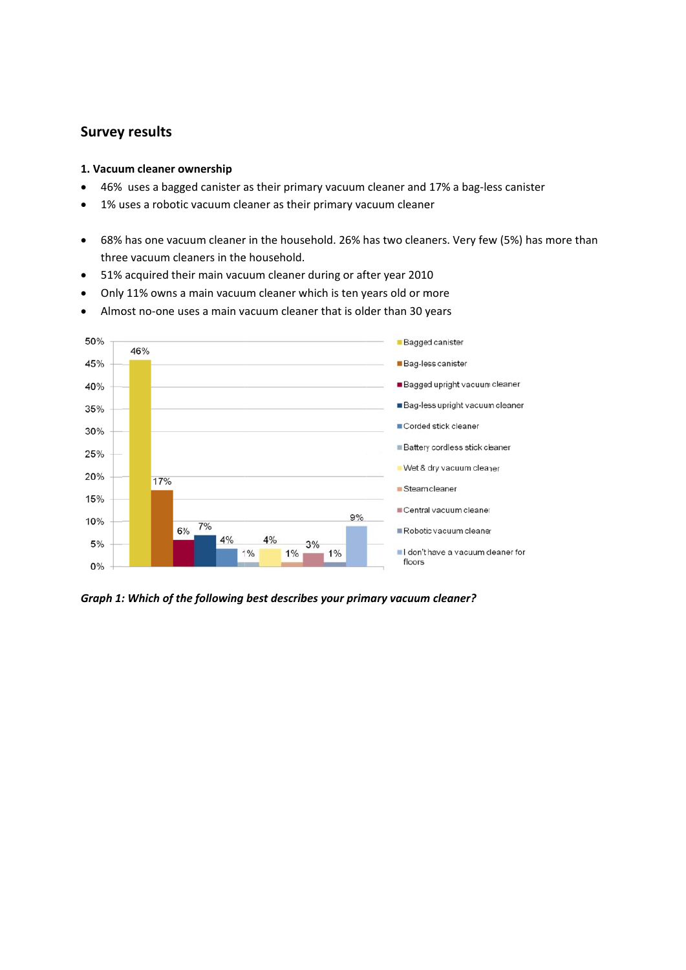# **Survey y results**

#### **1. Vacuu um cleaner o ownership**

- 46% uses a bagged canister as their primary vacuum cleaner and 17% a bag-less canister
- 1% uses a robotic vacuum cleaner as their primary vacuum cleaner
- 68% has one vacuum cleaner in the household. 26% has two cleaners. Very few (5%) has more than three vacuum cleaners in the household.
- 51% acquired their main vacuum cleaner during or after year 2010
- 51% acquired their main vacuum cleaner during or after year 2010<br>● Only 11% owns a main vacuum cleaner which is ten years old or more
- Almost no-one uses a main vacuum cleaner that is older than 30 years



*Graph 1: : Which of th he following best describ bes your prim mary vacuum m cleaner?*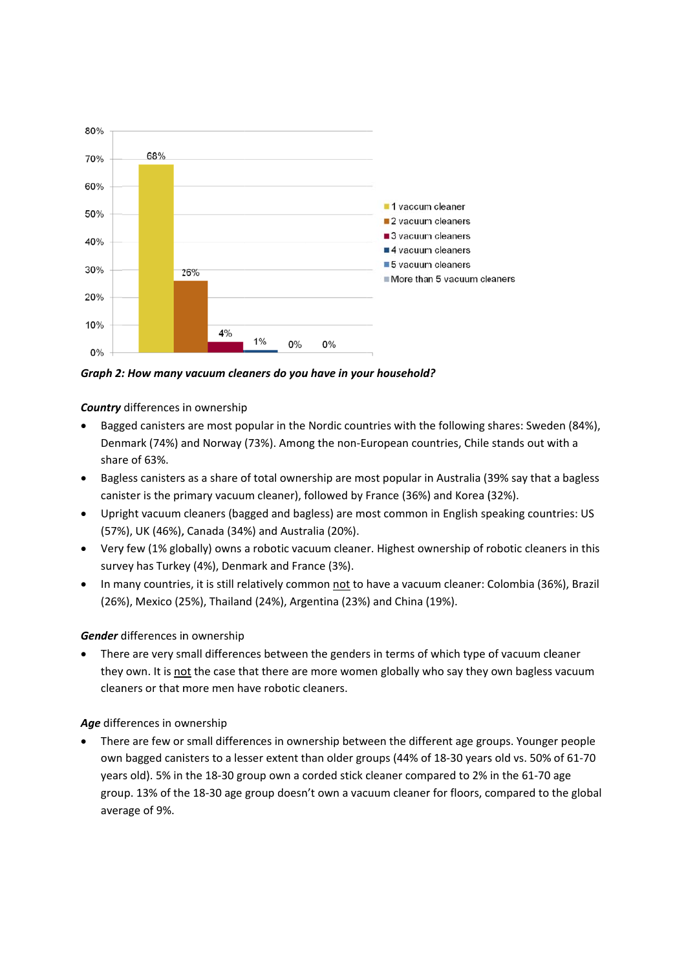

Graph 2: How many vacuum cleaners do you have in your household?

**Country** differences in ownership

- Bagged canisters are most popular in the Nordic countries with the following shares: Sweden (84%), Denmark (74%) and Norway (73%). Among the non-European countries, Chile stands out with a share of 63%.
- Bagless canisters as a share of total ownership are most popular in Australia (39% say that a bagless canister is the primary vacuum cleaner), followed by France (36%) and Korea (32%).
- Upright vacuum cleaners (bagged and bagless) are most common in English speaking countries: US (57%), UK (46%), Canada (34%) and Australia (20%).
- Very few (1% globally) owns a robotic vacuum cleaner. Highest ownership of robotic cleaners in this survey has Turkey (4%), Denmark and France (3%).
- In many countries, it is still relatively common not to have a vacuum cleaner: Colombia (36%), Brazil (26%), Mexico (25%), Thailand (24%), Argentina (23%) and China (19%).

# Gender differences in ownership

There are very small differences between the genders in terms of which type of vacuum cleaner they own. It is not the case that there are more women globally who say they own bagless vacuum cleaners or that more men have robotic cleaners.

# Age differences in ownership

There are few or small differences in ownership between the different age groups. Younger people own bagged canisters to a lesser extent than older groups (44% of 18-30 years old vs. 50% of 61-70 years old). 5% in the 18-30 group own a corded stick cleaner compared to 2% in the 61-70 age group. 13% of the 18-30 age group doesn't own a vacuum cleaner for floors, compared to the global average of 9%.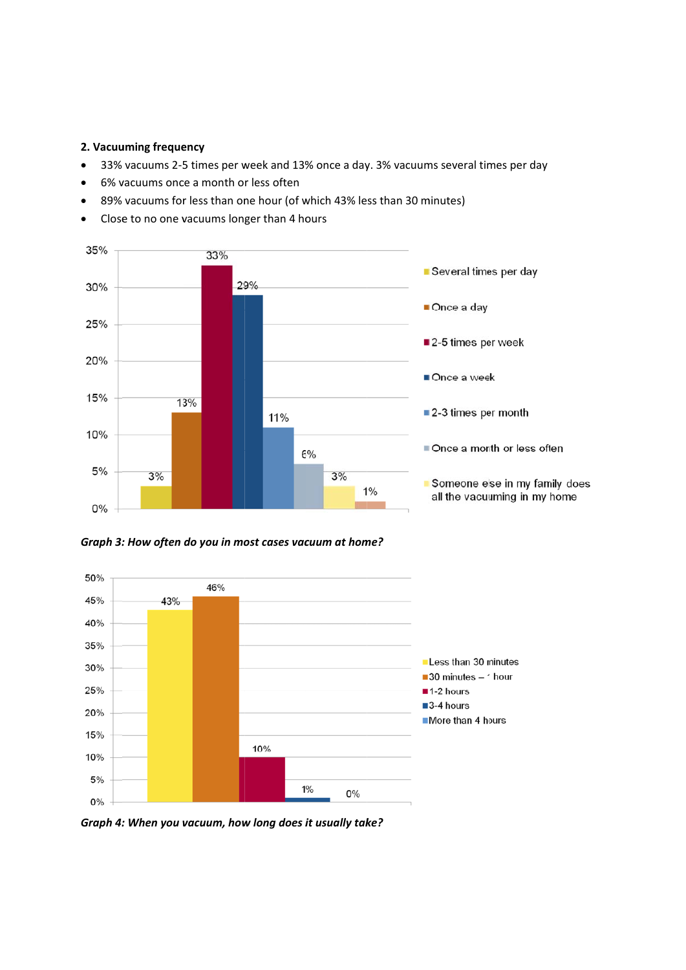#### 2. Vacuuming frequency

- 33% vacuums 2-5 times per week and 13% once a day. 3% vacuums several times per day
- 6% vacuums once a month or less often
- 89% vacuums for less than one hour (of which 43% less than 30 minutes)
- Close to no one vacuums longer than 4 hours  $\bullet$







Graph 4: When you vacuum, how long does it usually take?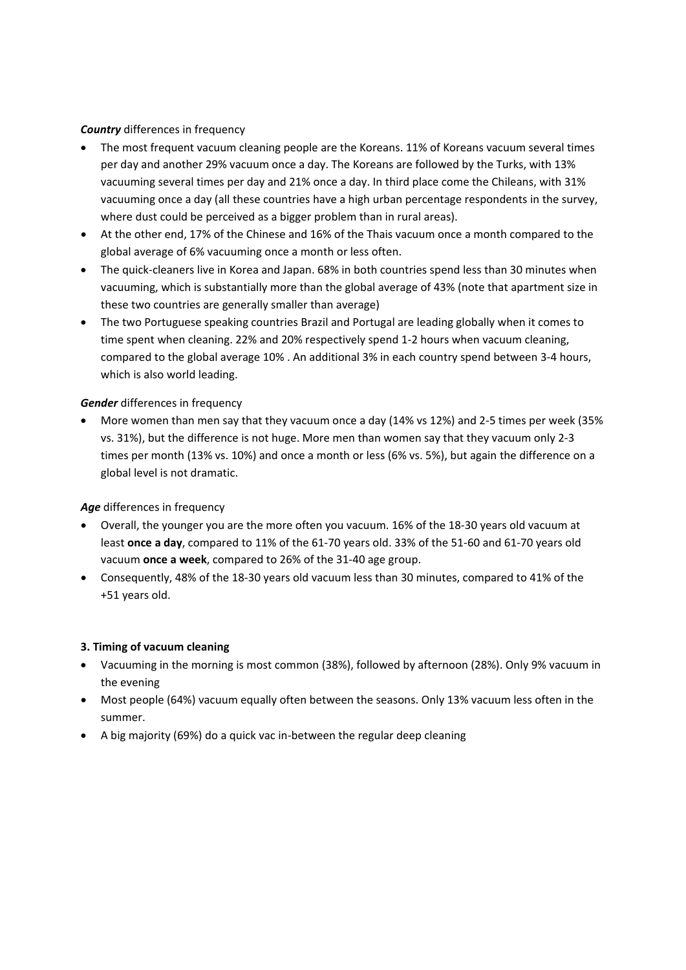#### *Country* differences in frequency

- The most frequent vacuum cleaning people are the Koreans. 11% of Koreans vacuum several times per day and another 29% vacuum once a day. The Koreans are followed by the Turks, with 13% vacuuming several times per day and 21% once a day. In third place come the Chileans, with 31% vacuuming once a day (all these countries have a high urban percentage respondents in the survey, where dust could be perceived as a bigger problem than in rural areas).
- At the other end, 17% of the Chinese and 16% of the Thais vacuum once a month compared to the global average of 6% vacuuming once a month or less often.
- The quick-cleaners live in Korea and Japan. 68% in both countries spend less than 30 minutes when vacuuming, which is substantially more than the global average of 43% (note that apartment size in these two countries are generally smaller than average)
- The two Portuguese speaking countries Brazil and Portugal are leading globally when it comes to time spent when cleaning. 22% and 20% respectively spend 1‐2 hours when vacuum cleaning, compared to the global average 10% . An additional 3% in each country spend between 3‐4 hours, which is also world leading.

#### *Gender* differences in frequency

■ More women than men say that they vacuum once a day (14% vs 12%) and 2-5 times per week (35% vs. 31%), but the difference is not huge. More men than women say that they vacuum only 2‐3 times per month (13% vs. 10%) and once a month or less (6% vs. 5%), but again the difference on a global level is not dramatic.

#### *Age* differences in frequency

- Overall, the younger you are the more often you vacuum. 16% of the 18‐30 years old vacuum at least **once a day**, compared to 11% of the 61‐70 years old. 33% of the 51‐60 and 61‐70 years old vacuum **once a week**, compared to 26% of the 31‐40 age group.
- Consequently, 48% of the 18‐30 years old vacuum less than 30 minutes, compared to 41% of the +51 years old.

#### **3. Timing of vacuum cleaning**

- Vacuuming in the morning is most common (38%), followed by afternoon (28%). Only 9% vacuum in the evening
- Most people (64%) vacuum equally often between the seasons. Only 13% vacuum less often in the summer.
- A big majority (69%) do a quick vac in‐between the regular deep cleaning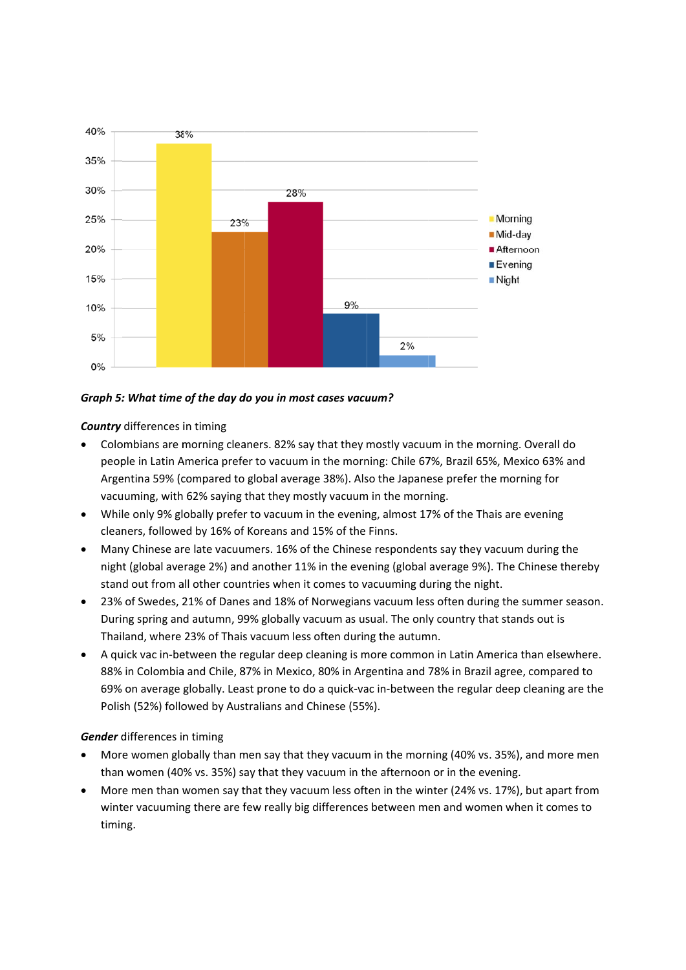

#### Graph 5: What time of the day do you in most cases vacuum?

**Country** differences in timing

- Colombians are morning cleaners. 82% say that they mostly vacuum in the morning. Overall do people in Latin America prefer to vacuum in the morning: Chile 67%, Brazil 65%, Mexico 63% and Argentina 59% (compared to global average 38%). Also the Japanese prefer the morning for vacuuming, with 62% saying that they mostly vacuum in the morning.
- While only 9% globally prefer to vacuum in the evening, almost 17% of the Thais are evening  $\bullet$ cleaners, followed by 16% of Koreans and 15% of the Finns.
- Many Chinese are late vacuumers. 16% of the Chinese respondents say they vacuum during the night (global average 2%) and another 11% in the evening (global average 9%). The Chinese thereby stand out from all other countries when it comes to vacuuming during the night.
- 23% of Swedes, 21% of Danes and 18% of Norwegians vacuum less often during the summer season. During spring and autumn, 99% globally vacuum as usual. The only country that stands out is Thailand, where 23% of Thais vacuum less often during the autumn.
- A quick vac in-between the regular deep cleaning is more common in Latin America than elsewhere.  $\bullet$ 88% in Colombia and Chile, 87% in Mexico, 80% in Argentina and 78% in Brazil agree, compared to 69% on average globally. Least prone to do a quick-vac in-between the regular deep cleaning are the Polish (52%) followed by Australians and Chinese (55%).

#### Gender differences in timing

- More women globally than men say that they vacuum in the morning (40% vs. 35%), and more men than women (40% vs. 35%) say that they vacuum in the afternoon or in the evening.
- More men than women say that they vacuum less often in the winter (24% vs. 17%), but apart from winter vacuuming there are few really big differences between men and women when it comes to timing.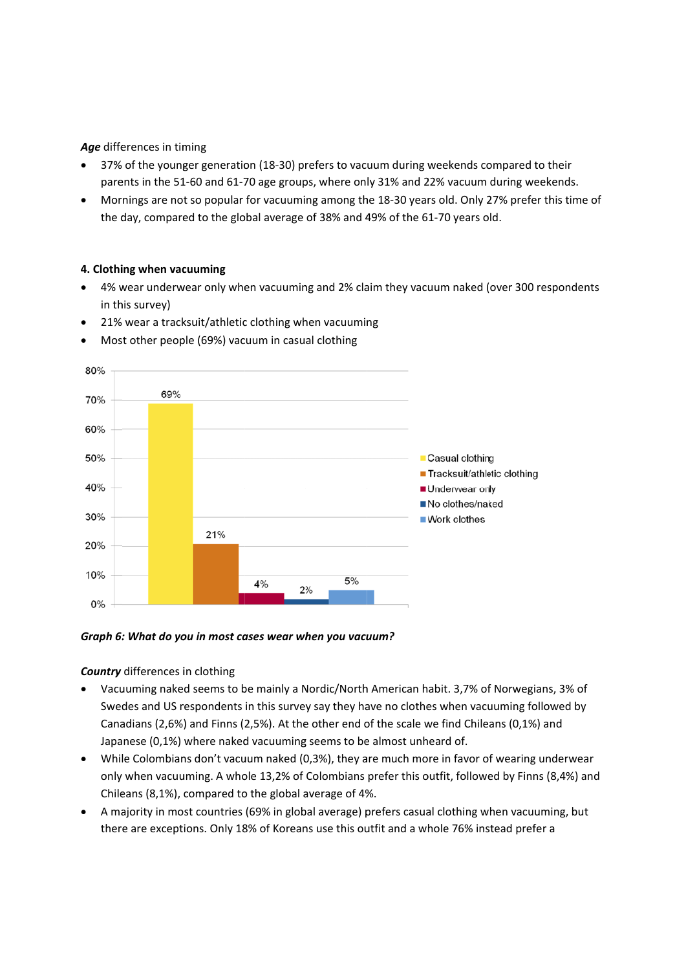#### Age differences in timing

- 37% of the younger generation (18-30) prefers to vacuum during weekends compared to their parents in the 51-60 and 61-70 age groups, where only 31% and 22% vacuum during weekends.
- Mornings are not so popular for vacuuming among the 18-30 years old. Only 27% prefer this time of the day, compared to the global average of 38% and 49% of the 61-70 years old.

#### 4. Clothing when vacuuming

- 4% wear underwear only when vacuuming and 2% claim they vacuum naked (over 300 respondents in this survey)
- 21% wear a tracksuit/athletic clothing when vacuuming



Most other people (69%) vacuum in casual clothing

#### Graph 6: What do you in most cases wear when you vacuum?

#### **Country** differences in clothing

- Vacuuming naked seems to be mainly a Nordic/North American habit, 3.7% of Norwegians, 3% of Swedes and US respondents in this survey say they have no clothes when vacuuming followed by Canadians (2,6%) and Finns (2,5%). At the other end of the scale we find Chileans (0,1%) and Japanese (0,1%) where naked vacuuming seems to be almost unheard of.
- While Colombians don't vacuum naked (0,3%), they are much more in favor of wearing underwear only when vacuuming. A whole 13,2% of Colombians prefer this outfit, followed by Finns (8,4%) and Chileans (8,1%), compared to the global average of 4%.
- A majority in most countries (69% in global average) prefers casual clothing when vacuuming, but there are exceptions. Only 18% of Koreans use this outfit and a whole 76% instead prefer a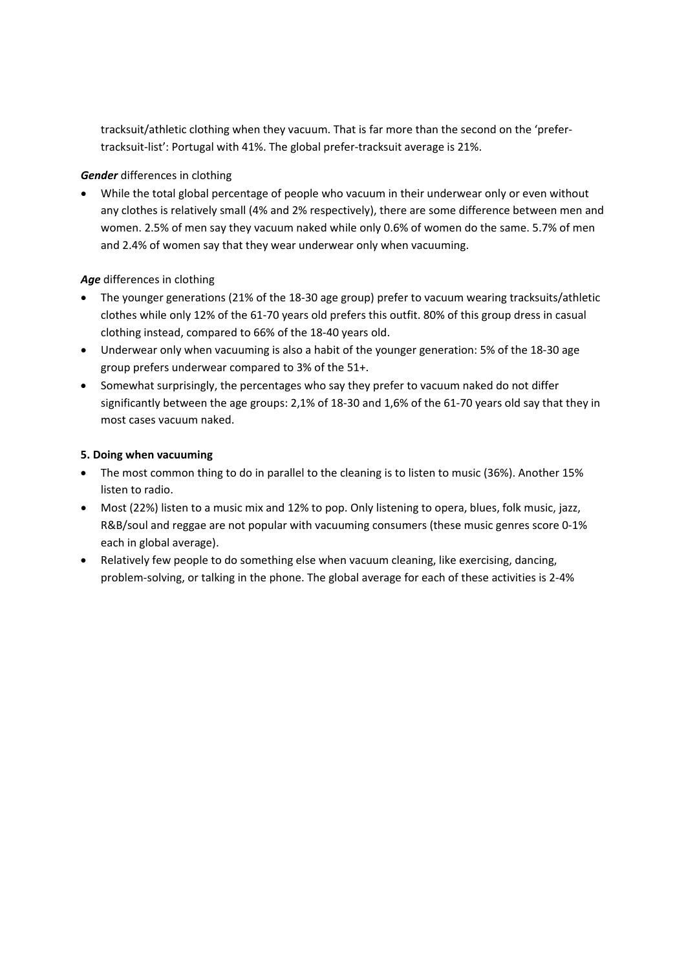tracksuit/athletic clothing when they vacuum. That is far more than the second on the 'prefer‐ tracksuit‐list': Portugal with 41%. The global prefer‐tracksuit average is 21%.

#### *Gender* differences in clothing

 While the total global percentage of people who vacuum in their underwear only or even without any clothes is relatively small (4% and 2% respectively), there are some difference between men and women. 2.5% of men say they vacuum naked while only 0.6% of women do the same. 5.7% of men and 2.4% of women say that they wear underwear only when vacuuming.

#### *Age* differences in clothing

- The younger generations (21% of the 18‐30 age group) prefer to vacuum wearing tracksuits/athletic clothes while only 12% of the 61‐70 years old prefers this outfit. 80% of this group dress in casual clothing instead, compared to 66% of the 18‐40 years old.
- Underwear only when vacuuming is also a habit of the younger generation: 5% of the 18‐30 age group prefers underwear compared to 3% of the 51+.
- Somewhat surprisingly, the percentages who say they prefer to vacuum naked do not differ significantly between the age groups: 2,1% of 18-30 and 1,6% of the 61-70 years old say that they in most cases vacuum naked.

#### **5. Doing when vacuuming**

- The most common thing to do in parallel to the cleaning is to listen to music (36%). Another 15% listen to radio.
- Most (22%) listen to a music mix and 12% to pop. Only listening to opera, blues, folk music, jazz, R&B/soul and reggae are not popular with vacuuming consumers (these music genres score 0‐1% each in global average).
- Relatively few people to do something else when vacuum cleaning, like exercising, dancing, problem‐solving, or talking in the phone. The global average for each of these activities is 2‐4%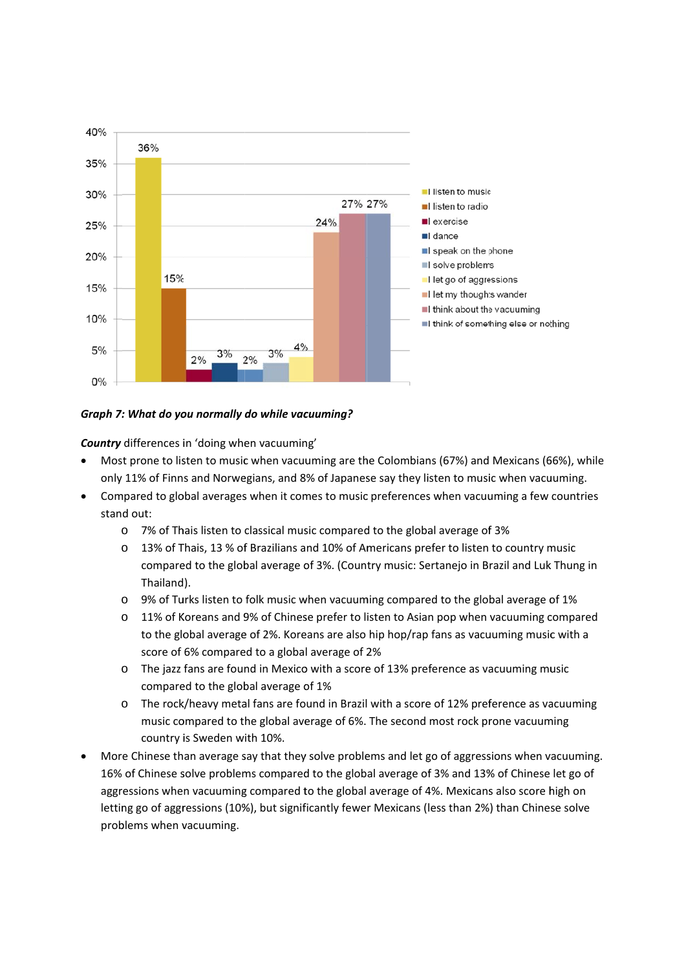

#### Graph 7: What do you normally do while vacuuming?

**Country** differences in 'doing when vacuuming'

- Most prone to listen to music when vacuuming are the Colombians (67%) and Mexicans (66%), while only 11% of Finns and Norwegians, and 8% of Japanese say they listen to music when vacuuming.
- Compared to global averages when it comes to music preferences when vacuuming a few countries stand out:
	- o 7% of Thais listen to classical music compared to the global average of 3%
	- o 13% of Thais, 13 % of Brazilians and 10% of Americans prefer to listen to country music compared to the global average of 3%. (Country music: Sertanejo in Brazil and Luk Thung in Thailand).
	- $\circ$  9% of Turks listen to folk music when vacuuming compared to the global average of 1%
	- o 11% of Koreans and 9% of Chinese prefer to listen to Asian pop when vacuuming compared to the global average of 2%. Koreans are also hip hop/rap fans as vacuuming music with a score of 6% compared to a global average of 2%
	- o The jazz fans are found in Mexico with a score of 13% preference as vacuuming music compared to the global average of 1%
	- o The rock/heavy metal fans are found in Brazil with a score of 12% preference as vacuuming music compared to the global average of 6%. The second most rock prone vacuuming country is Sweden with 10%.
- More Chinese than average say that they solve problems and let go of aggressions when vacuuming. 16% of Chinese solve problems compared to the global average of 3% and 13% of Chinese let go of aggressions when vacuuming compared to the global average of 4%. Mexicans also score high on letting go of aggressions (10%), but significantly fewer Mexicans (less than 2%) than Chinese solve problems when vacuuming.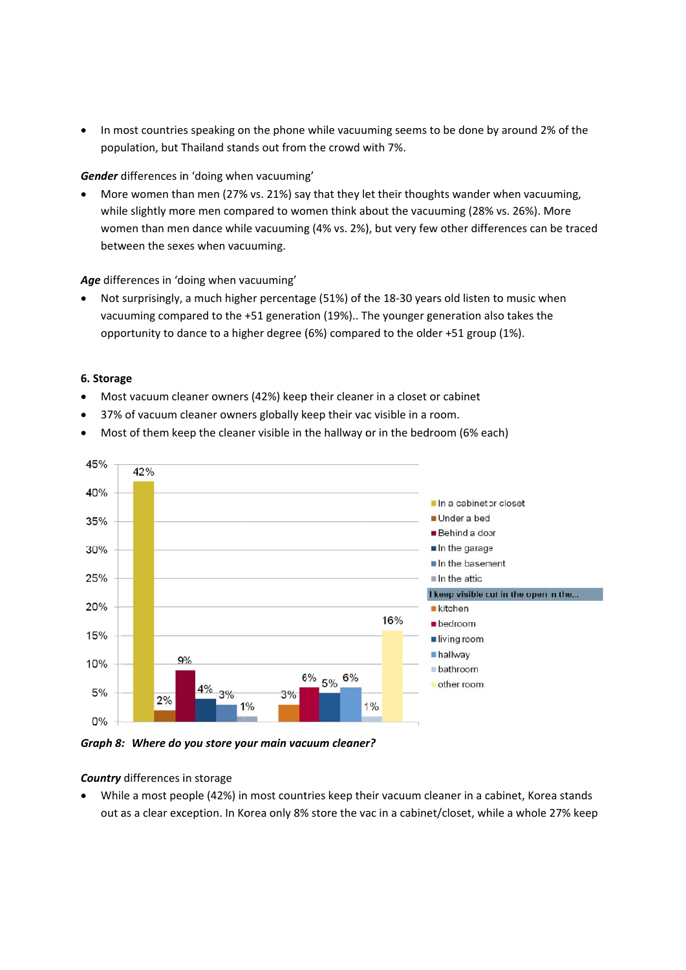• In most countries speaking on the phone while vacuuming seems to be done by around 2% of the population, but Thailand stands out from the crowd with 7%.

Gender differences in 'doing when vacuuming'

• More women than men (27% vs. 21%) say that they let their thoughts wander when vacuuming, while slightly more men compared to women think about the vacuuming (28% vs. 26%). More women than men dance while vacuuming (4% vs. 2%), but very few other differences can be traced between the sexes when vacuuming.

Age differences in 'doing when vacuuming'

• Not surprisingly, a much higher percentage (51%) of the 18-30 years old listen to music when vacuuming compared to the +51 generation (19%).. The younger generation also takes the opportunity to dance to a higher degree (6%) compared to the older +51 group (1%).

#### **6. Storag ge**

- Most vacuum cleaner owners (42%) keep their cleaner in a closet or cabinet
- 37% of vacuum cleaner owners globally keep their vac visible in a room.
- Most of them keep the cleaner visible in the hallway or in the bedroom (6% each)



Graph 8: Where do you store your main vacuum cleaner?

#### **Country** differences in storage

• While a most people (42%) in most countries keep their vacuum cleaner in a cabinet, Kore out as a clear exception. In Korea only 8% store the vac in a cabinet/closet, while a whole 27% keep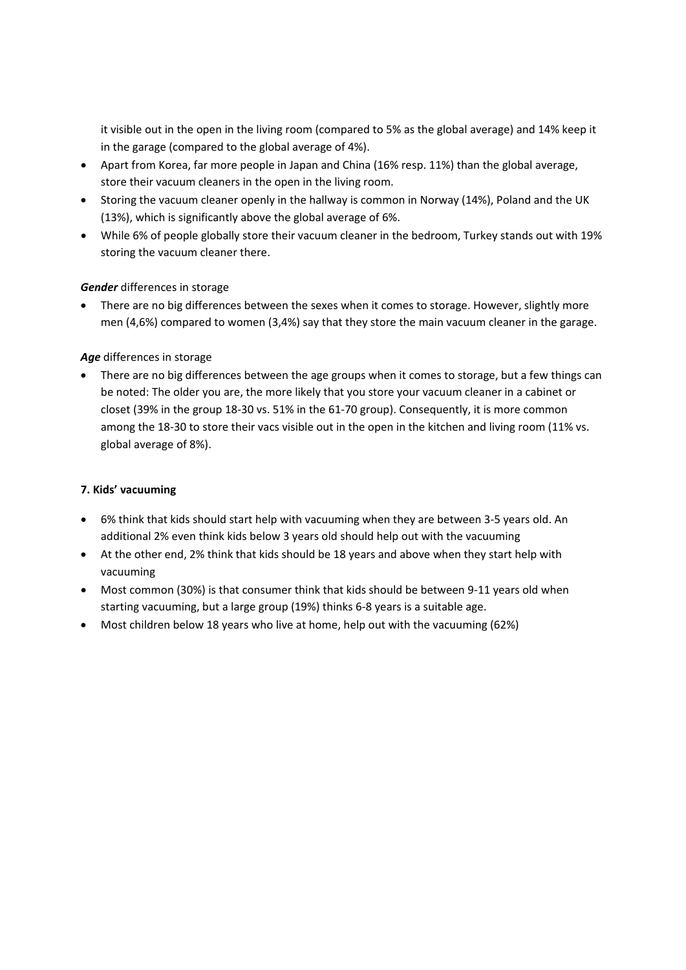it visible out in the open in the living room (compared to 5% as the global average) and 14% keep it in the garage (compared to the global average of 4%).

- Apart from Korea, far more people in Japan and China (16% resp. 11%) than the global average, store their vacuum cleaners in the open in the living room.
- Storing the vacuum cleaner openly in the hallway is common in Norway (14%), Poland and the UK (13%), which is significantly above the global average of 6%.
- While 6% of people globally store their vacuum cleaner in the bedroom, Turkey stands out with 19% storing the vacuum cleaner there.

#### *Gender* differences in storage

 There are no big differences between the sexes when it comes to storage. However, slightly more men (4,6%) compared to women (3,4%) say that they store the main vacuum cleaner in the garage.

#### *Age* differences in storage

 There are no big differences between the age groups when it comes to storage, but a few things can be noted: The older you are, the more likely that you store your vacuum cleaner in a cabinet or closet (39% in the group 18-30 vs. 51% in the 61-70 group). Consequently, it is more common among the 18-30 to store their vacs visible out in the open in the kitchen and living room (11% vs. global average of 8%).

#### **7. Kids' vacuuming**

- 6% think that kids should start help with vacuuming when they are between 3‐5 years old. An additional 2% even think kids below 3 years old should help out with the vacuuming
- At the other end, 2% think that kids should be 18 years and above when they start help with vacuuming
- Most common (30%) is that consumer think that kids should be between 9‐11 years old when starting vacuuming, but a large group (19%) thinks 6‐8 years is a suitable age.
- Most children below 18 years who live at home, help out with the vacuuming (62%)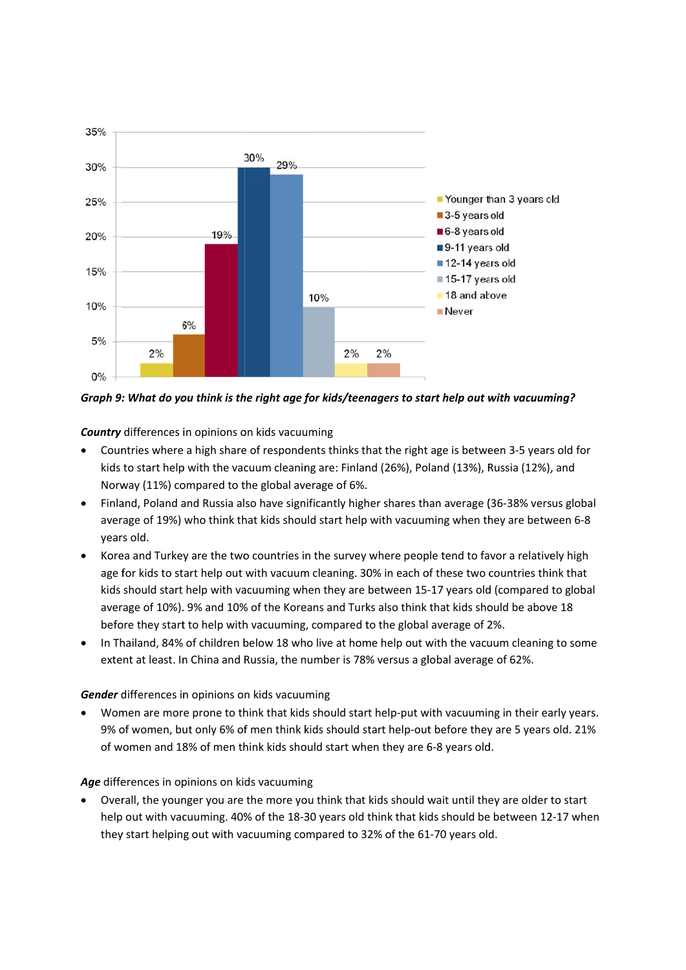

Graph 9: What do you think is the right age for kids/teenggers to start help out with yacuuming?

**Country** differences in opinions on kids vacuuming

- Countries where a high share of respondents thinks that the right age is between 3-5 years old for  $\bullet$ kids to start help with the vacuum cleaning are: Finland (26%), Poland (13%), Russia (12%), and Norway (11%) compared to the global average of 6%.
- Finland, Poland and Russia also have significantly higher shares than average (36-38% versus global average of 19%) who think that kids should start help with vacuuming when they are between 6-8 years old.
- Korea and Turkey are the two countries in the survey where people tend to favor a relatively high age for kids to start help out with vacuum cleaning. 30% in each of these two countries think that kids should start help with vacuuming when they are between 15-17 years old (compared to global average of 10%). 9% and 10% of the Koreans and Turks also think that kids should be above 18 before they start to help with vacuuming, compared to the global average of 2%.
- In Thailand, 84% of children below 18 who live at home help out with the vacuum cleaning to some extent at least. In China and Russia, the number is 78% versus a global average of 62%.

#### Gender differences in opinions on kids vacuuming

Women are more prone to think that kids should start help-put with vacuuming in their early years. 9% of women, but only 6% of men think kids should start help-out before they are 5 years old. 21% of women and 18% of men think kids should start when they are 6-8 years old.

#### Age differences in opinions on kids vacuuming

Overall, the younger you are the more you think that kids should wait until they are older to start help out with vacuuming. 40% of the 18-30 years old think that kids should be between 12-17 when they start helping out with vacuuming compared to 32% of the 61-70 years old.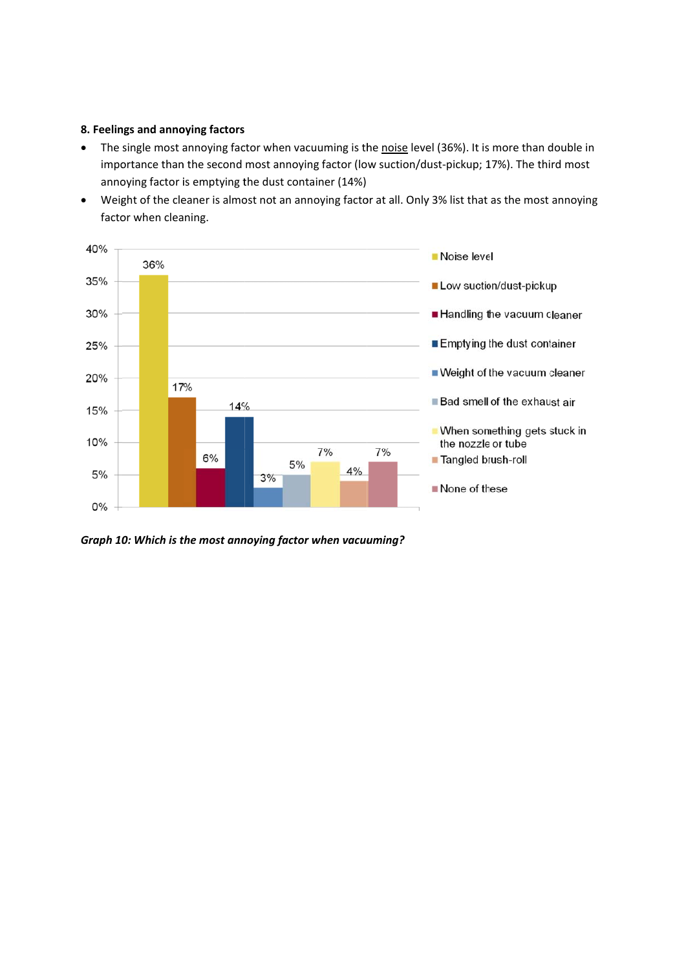#### 8. Feelings and annoying factors

- $\bullet$ The single most annoying factor when vacuuming is the noise level (36%). It is more than double in importance than the second most annoying factor (low suction/dust-pickup; 17%). The third most annoying factor is emptying the dust container (14%)
- Weight of the cleaner is almost not an annoying factor at all. Only 3% list that as the most annoying factor when cleaning.



Graph 10: Which is the most annoying factor when vacuuming?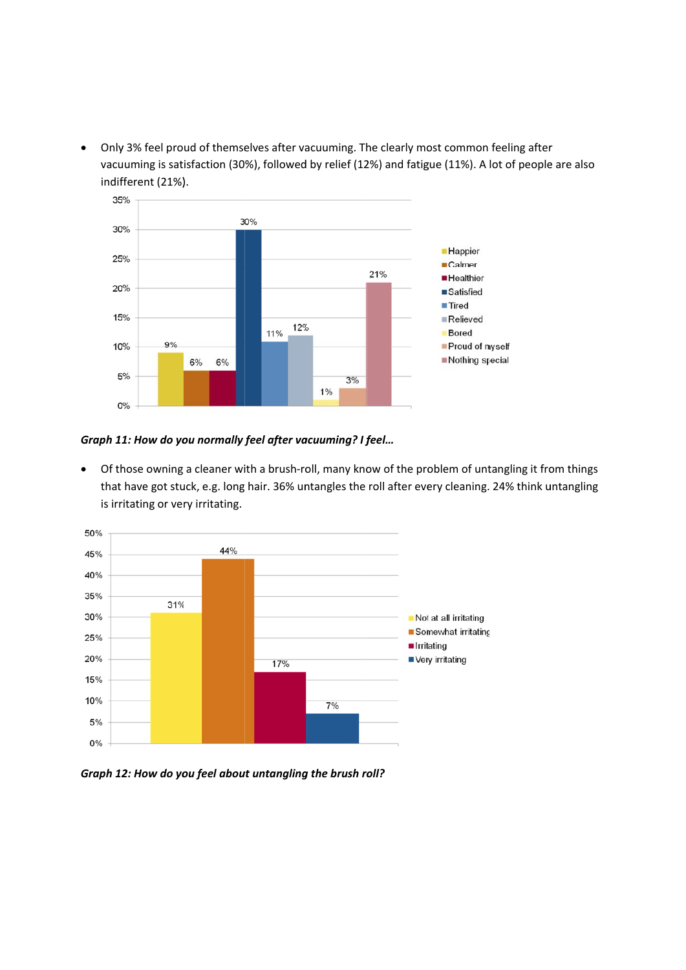• Only 3% feel proud of themselves after vacuuming. The clearly most common feeling after Only 3% feel proud of themselves after vacuuming. The clearly most common feeling after<br>vacuuming is satisfaction (30%), followed by relief (12%) and fatigue (11%). A lot of people are also indif fferent (21%) ).



#### Graph 11: How do you normally feel after vacuuming? I feel...

• Of those owning a cleaner with a brush-roll, many know of the problem of untangling it from things that have got stuck, e.g. long hair. 36% untangles the roll after every cleaning. 24% think untangling is irritating or very irritating.



Graph 12: How do you feel about untangling the brush roll?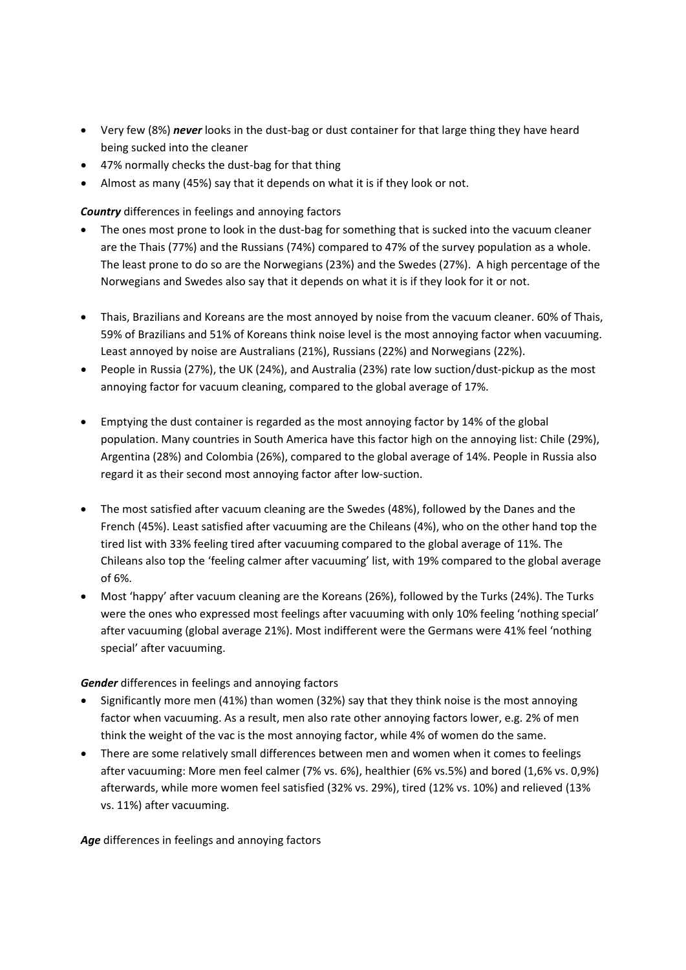- Very few (8%) *never* looks in the dust-bag or dust container for that large thing they have heard being sucked into the cleaner
- 47% normally checks the dust-bag for that thing
- Almost as many (45%) say that it depends on what it is if they look or not.

*Country* differences in feelings and annoying factors

- The ones most prone to look in the dust-bag for something that is sucked into the vacuum cleaner are the Thais (77%) and the Russians (74%) compared to 47% of the survey population as a whole. The least prone to do so are the Norwegians (23%) and the Swedes (27%). A high percentage of the Norwegians and Swedes also say that it depends on what it is if they look for it or not.
- Thais, Brazilians and Koreans are the most annoyed by noise from the vacuum cleaner. 60% of Thais, 59% of Brazilians and 51% of Koreans think noise level is the most annoying factor when vacuuming. Least annoyed by noise are Australians (21%), Russians (22%) and Norwegians (22%).
- People in Russia (27%), the UK (24%), and Australia (23%) rate low suction/dust‐pickup as the most annoying factor for vacuum cleaning, compared to the global average of 17%.
- Emptying the dust container is regarded as the most annoying factor by 14% of the global population. Many countries in South America have this factor high on the annoying list: Chile (29%), Argentina (28%) and Colombia (26%), compared to the global average of 14%. People in Russia also regard it as their second most annoying factor after low‐suction.
- The most satisfied after vacuum cleaning are the Swedes (48%), followed by the Danes and the French (45%). Least satisfied after vacuuming are the Chileans (4%), who on the other hand top the tired list with 33% feeling tired after vacuuming compared to the global average of 11%. The Chileans also top the 'feeling calmer after vacuuming' list, with 19% compared to the global average of 6%.
- Most 'happy' after vacuum cleaning are the Koreans (26%), followed by the Turks (24%). The Turks were the ones who expressed most feelings after vacuuming with only 10% feeling 'nothing special' after vacuuming (global average 21%). Most indifferent were the Germans were 41% feel 'nothing special' after vacuuming.

*Gender* differences in feelings and annoying factors

- Significantly more men (41%) than women (32%) say that they think noise is the most annoying factor when vacuuming. As a result, men also rate other annoying factors lower, e.g. 2% of men think the weight of the vac is the most annoying factor, while 4% of women do the same.
- There are some relatively small differences between men and women when it comes to feelings after vacuuming: More men feel calmer (7% vs. 6%), healthier (6% vs.5%) and bored (1,6% vs. 0,9%) afterwards, while more women feel satisfied (32% vs. 29%), tired (12% vs. 10%) and relieved (13% vs. 11%) after vacuuming.

*Age* differences in feelings and annoying factors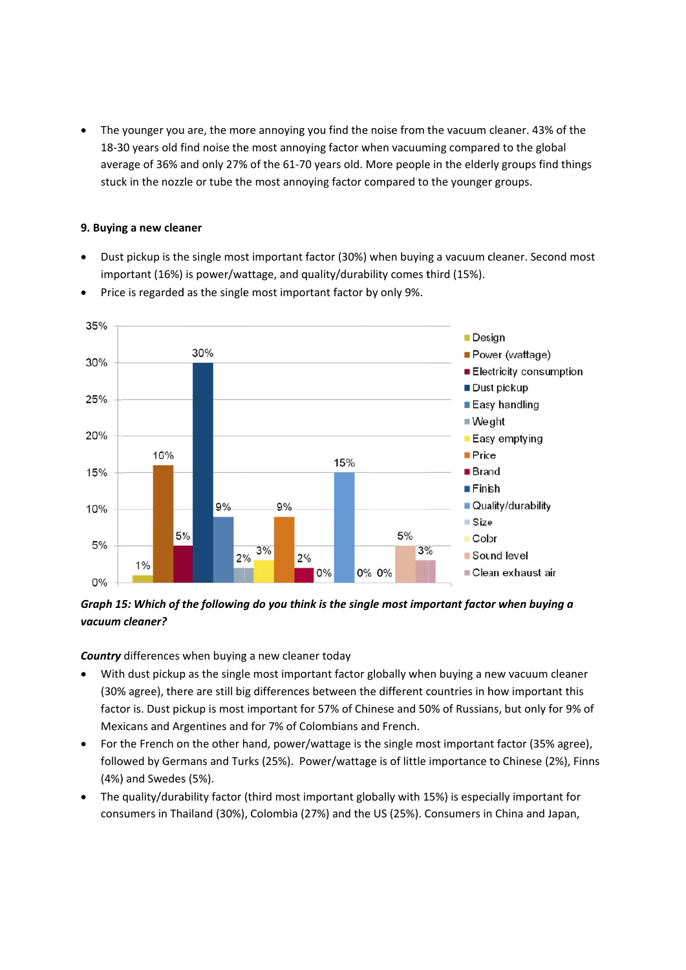• The younger you are, the more annoying you find the noise from the vacuum cleaner. 43% of the 18-30 years old find noise the most annoying factor when vacuuming compared to the global average of 36% and only 27% of the 61-70 years old. More people in the elderly groups find things stuck in the nozzle or tube the most annoying factor compared to the younger groups.

#### **9. Buying g a new clea aner**

• Dust pickup is the single most important factor (30%) when buying a vacuum cleaner. Second most important (16%) is power/wattage, and quality/durability comes third (15%).



• Price is regarded as the single most important factor by only 9%.

# Graph 15: Which of the following do you think is the single most important factor when buying a *vacuum cleaner?*

Country differences when buying a new cleaner today

- With dust pickup as the single most important factor globally when buying a new vacuum cleaner (30% % agree), the re are still bi g differences s between th he different c countries in h how importa ant this factor is. Dust pickup is most important for 57% of Chinese and 50% of Russians, but only for 9% of Mexicans and Argentines and for 7% of Colombians and French.
- For the French on the other hand, power/wattage is the single most important factor (35% agree), followed by Germans and Turks (25%). Power/wattage is of little importance to Chinese (2%), Finns (4%) and Swedes (5%).
- The quality/durability factor (third most important globally with 15%) is especially important for consumers in Thailand (30%), Colombia (27%) and the US (25%). Consumers in China and Japan,